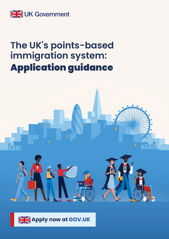

# **The UK's points-based immigration system:** Application guidance



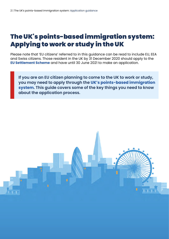## The UK's points-based immigration system: Applying to work or study in the UK

Please note that 'EU citizens' referred to in this guidance can be read to include EU, EEA and Swiss citizens. Those resident in the UK by 31 December 2020 should apply to the **[EU Settlement Scheme](https://www.gov.uk/settled-status-eu-citizens-families/what-settled-and-presettled-status-means)** and have until 30 June 2021 to make an application.

**If you are an EU citizen planning to come to the UK to work or study, you may need to apply through the [UK's points-based immigration](https://www.gov.uk/guidance/the-uks-points-based-immigration-system-information-for-eu-citizens)  [system](https://www.gov.uk/guidance/the-uks-points-based-immigration-system-information-for-eu-citizens). This guide covers some of the key things you need to know about the application process.**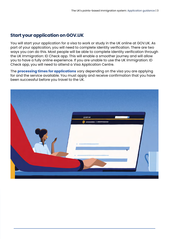#### **Start your application on GOV.UK**

You will start your application for a visa to work or study in the UK online at GOV.UK. As part of your application, you will need to complete identity verification. There are two ways you can do this. Most people will be able to complete identity verification through the UK Immigration: ID Check app. This will enable a smoother journey and will allow you to have a fully online experience. If you are unable to use the UK Immigration: ID Check app, you will need to attend a Visa Application Centre.

The **[processing times for applications](https://www.gov.uk/guidance/visa-decision-waiting-times-applications-outside-the-uk?step-by-step-nav=cafcc40a-c1ff-4997-adb4-2fef47af194d)** vary depending on the visa you are applying for and the service available. You must apply and receive confirmation that you have been successful before you travel to the UK.

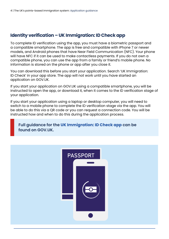#### **Identity verification – UK Immigration: ID Check app**

To complete ID verification using the app, you must have a biometric passport and a compatible smartphone. The app is free and compatible with iPhone 7 or newer models, and Android phones that have Near Field Communication (NFC). Your phone will have NFC if it can be used to make contactless payments. If you do not own a compatible phone, you can use the app from a family or friend's mobile phone. No information is stored on the phone or app after you close it.

You can download this before you start your application. Search 'UK Immigration: ID Check' in your app store. The app will not work until you have started an application on GOV.UK.

If you start your application on GOV.UK using a compatible smartphone, you will be instructed to open the app, or download it, when it comes to the ID verification stage of your application.

If you start your application using a laptop or desktop computer, you will need to switch to a mobile phone to complete the ID verification stage via the app. You will be able to do this via a QR code or you can request a connection code. You will be instructed how and when to do this during the application process.

**Full guidance for the [UK Immigration: ID Check app](https://www.gov.uk/guidance/using-the-uk-immigration-id-check-app) can be found on GOV.UK.**

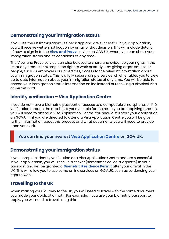#### **Demonstrating your immigration status**

If you use the UK Immigration: ID Check app and are successful in your application, you will receive written notification by email of that decision. This will include details of how to sign in to the **[View and Prove](https://www.gov.uk/view-prove-immigration-status)** service on GOV.UK, where you can check your immigration status and its conditions at any time.

The View and Prove service can also be used to share and evidence your rights in the UK at any time – for example the right to work or study – by giving organisations or people, such as employers or universities, access to the relevant information about your immigration status. This is a fully secure, simple service which enables you to view up to date information about your immigration status at any time. You will be able to access your immigration status information online instead of receiving a physical visa or permit card.

#### **Identity verification – Visa Application Centre**

If you do not have a biometric passport or access to a compatible smartphone, or if ID verification through the app is not yet available for the route you are applying through, you will need to attend a Visa Application Centre. You should still start your application on GOV.UK - if you are directed to attend a Visa Application Centre you will be given further information about this process and what documents you will need to provide upon your visit.

**You can find your nearest [Visa Application Centre](https://www.gov.uk/find-a-visa-application-centre) on GOV.UK.**

#### **Demonstrating your immigration status**

If you complete identity verification at a Visa Application Centre and are successful in your application, you will receive a sticker (sometimes called a vignette) in your passport and will be granted a **[Biometric Residence Permit](https://www.gov.uk/biometric-residence-permits)** after your arrival in the UK. This will allow you to use some online services on GOV.UK, such as evidencing your right to work.

#### **Travelling to the UK**

When making your journey to the UK, you will need to travel with the same document you made your application with. For example, if you use your biometric passport to apply, you will need to travel using this.